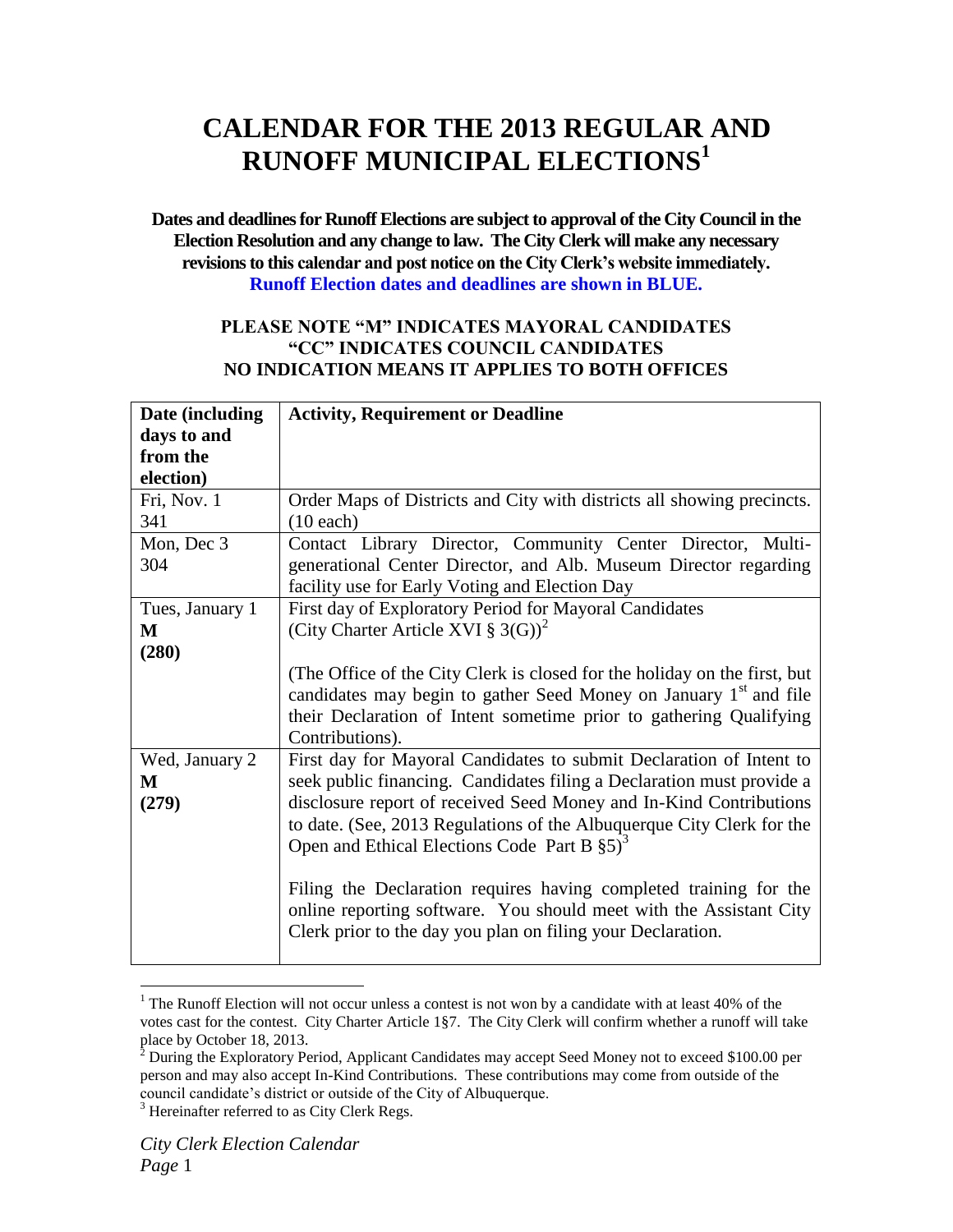## **CALENDAR FOR THE 2013 REGULAR AND RUNOFF MUNICIPAL ELECTIONS<sup>1</sup>**

**Dates and deadlines for Runoff Elections are subject to approval of the City Council in the Election Resolution and any change to law. The City Clerk will make any necessary revisions to this calendar and post notice on the City Clerk's website immediately. Runoff Election dates and deadlines are shown in BLUE.**

## **PLEASE NOTE "M" INDICATES MAYORAL CANDIDATES "CC" INDICATES COUNCIL CANDIDATES NO INDICATION MEANS IT APPLIES TO BOTH OFFICES**

| Date (including | <b>Activity, Requirement or Deadline</b>                                      |
|-----------------|-------------------------------------------------------------------------------|
| days to and     |                                                                               |
| from the        |                                                                               |
| election)       |                                                                               |
| Fri, Nov. 1     | Order Maps of Districts and City with districts all showing precincts.        |
| 341             | $(10$ each)                                                                   |
| Mon, Dec 3      | Contact Library Director, Community Center Director, Multi-                   |
| 304             | generational Center Director, and Alb. Museum Director regarding              |
|                 | facility use for Early Voting and Election Day                                |
| Tues, January 1 | First day of Exploratory Period for Mayoral Candidates                        |
| M               | (City Charter Article XVI § 3(G)) <sup>2</sup>                                |
| (280)           |                                                                               |
|                 | (The Office of the City Clerk is closed for the holiday on the first, but     |
|                 | candidates may begin to gather Seed Money on January 1 <sup>st</sup> and file |
|                 | their Declaration of Intent sometime prior to gathering Qualifying            |
|                 | Contributions).                                                               |
| Wed, January 2  | First day for Mayoral Candidates to submit Declaration of Intent to           |
| M               | seek public financing. Candidates filing a Declaration must provide a         |
| (279)           | disclosure report of received Seed Money and In-Kind Contributions            |
|                 | to date. (See, 2013 Regulations of the Albuquerque City Clerk for the         |
|                 | Open and Ethical Elections Code Part B $\S5$ <sup>3</sup>                     |
|                 |                                                                               |
|                 | Filing the Declaration requires having completed training for the             |
|                 | online reporting software. You should meet with the Assistant City            |
|                 | Clerk prior to the day you plan on filing your Declaration.                   |
|                 |                                                                               |

<sup>&</sup>lt;sup>1</sup> The Runoff Election will not occur unless a contest is not won by a candidate with at least 40% of the votes cast for the contest. City Charter Article 1§7. The City Clerk will confirm whether a runoff will take place by October 18, 2013.

 $\overline{a}$ 

 $^2$  During the Exploratory Period, Applicant Candidates may accept Seed Money not to exceed \$100.00 per person and may also accept In-Kind Contributions. These contributions may come from outside of the council candidate's district or outside of the City of Albuquerque.

<sup>&</sup>lt;sup>3</sup> Hereinafter referred to as City Clerk Regs.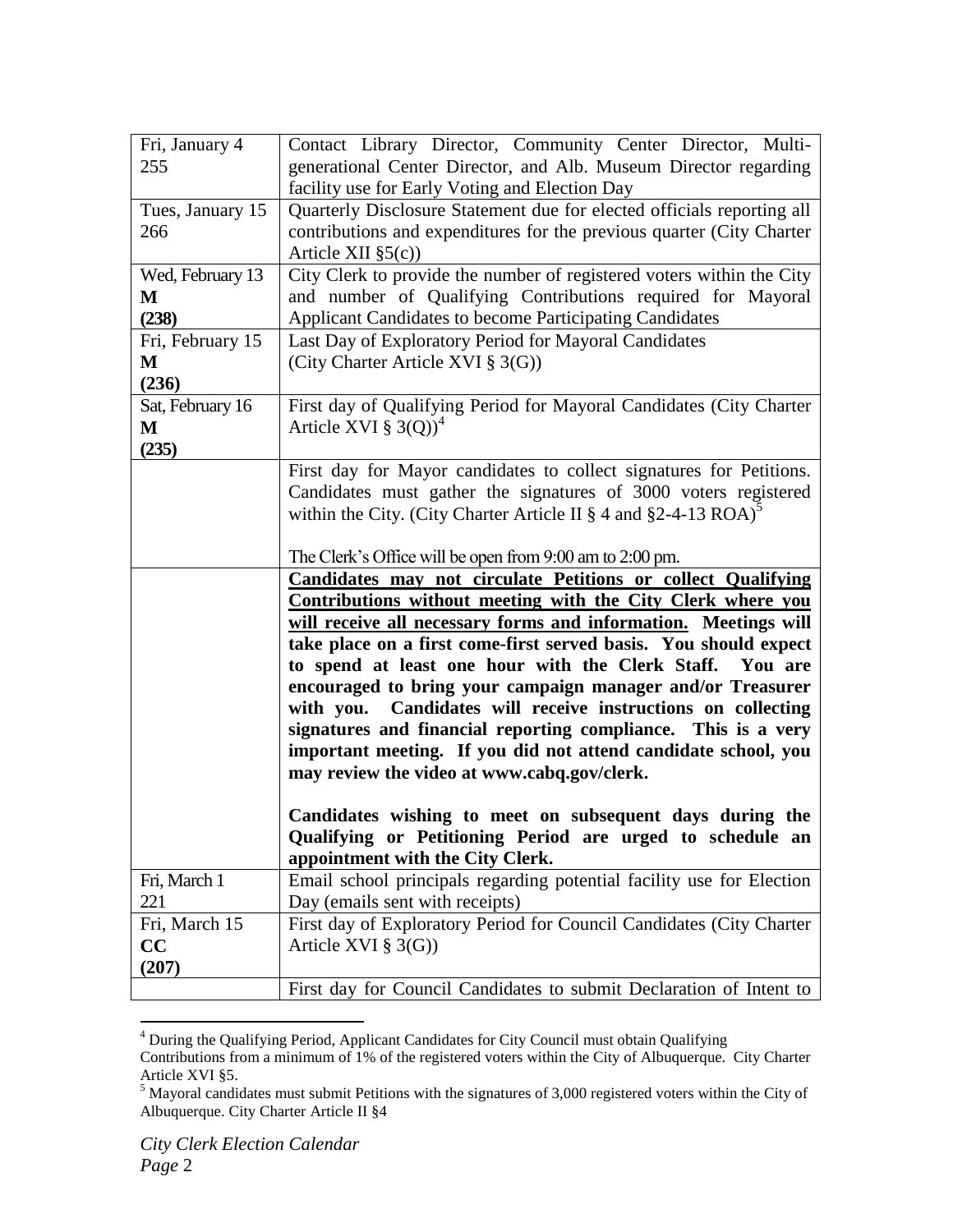| Fri, January 4<br>255          | Contact Library Director, Community Center Director, Multi-<br>generational Center Director, and Alb. Museum Director regarding                                                                                                                                                                                                                                                                                                                                                                                                                                                                                                                             |
|--------------------------------|-------------------------------------------------------------------------------------------------------------------------------------------------------------------------------------------------------------------------------------------------------------------------------------------------------------------------------------------------------------------------------------------------------------------------------------------------------------------------------------------------------------------------------------------------------------------------------------------------------------------------------------------------------------|
| Tues, January 15<br>266        | facility use for Early Voting and Election Day<br>Quarterly Disclosure Statement due for elected officials reporting all<br>contributions and expenditures for the previous quarter (City Charter<br>Article XII $\S5(c)$                                                                                                                                                                                                                                                                                                                                                                                                                                   |
| Wed, February 13<br>М<br>(238) | City Clerk to provide the number of registered voters within the City<br>and number of Qualifying Contributions required for Mayoral<br>Applicant Candidates to become Participating Candidates                                                                                                                                                                                                                                                                                                                                                                                                                                                             |
| Fri, February 15<br>M<br>(236) | Last Day of Exploratory Period for Mayoral Candidates<br>(City Charter Article XVI § 3(G))                                                                                                                                                                                                                                                                                                                                                                                                                                                                                                                                                                  |
| Sat, February 16<br>M<br>(235) | First day of Qualifying Period for Mayoral Candidates (City Charter<br>Article XVI $\S$ 3(Q)) <sup>4</sup>                                                                                                                                                                                                                                                                                                                                                                                                                                                                                                                                                  |
|                                | First day for Mayor candidates to collect signatures for Petitions.<br>Candidates must gather the signatures of 3000 voters registered<br>within the City. (City Charter Article II $\S 4$ and $\S 2-4-13$ ROA) <sup>5</sup>                                                                                                                                                                                                                                                                                                                                                                                                                                |
|                                | The Clerk's Office will be open from 9:00 am to 2:00 pm.                                                                                                                                                                                                                                                                                                                                                                                                                                                                                                                                                                                                    |
|                                |                                                                                                                                                                                                                                                                                                                                                                                                                                                                                                                                                                                                                                                             |
|                                | Candidates may not circulate Petitions or collect Qualifying<br><b>Contributions without meeting with the City Clerk where you</b><br>will receive all necessary forms and information. Meetings will<br>take place on a first come-first served basis. You should expect<br>to spend at least one hour with the Clerk Staff.<br>You are<br>encouraged to bring your campaign manager and/or Treasurer<br>Candidates will receive instructions on collecting<br>with you.<br>signatures and financial reporting compliance. This is a very<br>important meeting. If you did not attend candidate school, you<br>may review the video at www.cabq.gov/clerk. |
|                                | Candidates wishing to meet on subsequent days during the<br>Qualifying or Petitioning Period are urged to schedule an<br>appointment with the City Clerk.                                                                                                                                                                                                                                                                                                                                                                                                                                                                                                   |
| Fri, March 1<br>221            | Email school principals regarding potential facility use for Election<br>Day (emails sent with receipts)                                                                                                                                                                                                                                                                                                                                                                                                                                                                                                                                                    |
| Fri, March 15<br>CC<br>(207)   | First day of Exploratory Period for Council Candidates (City Charter<br>Article XVI $\S$ 3(G))                                                                                                                                                                                                                                                                                                                                                                                                                                                                                                                                                              |

<sup>&</sup>lt;sup>4</sup> During the Qualifying Period, Applicant Candidates for City Council must obtain Qualifying Contributions from a minimum of 1% of the registered voters within the City of Albuquerque. City Charter Article XVI §5.

 $\overline{a}$ 

 $<sup>5</sup>$  Mayoral candidates must submit Petitions with the signatures of 3,000 registered voters within the City of</sup> Albuquerque. City Charter Article II §4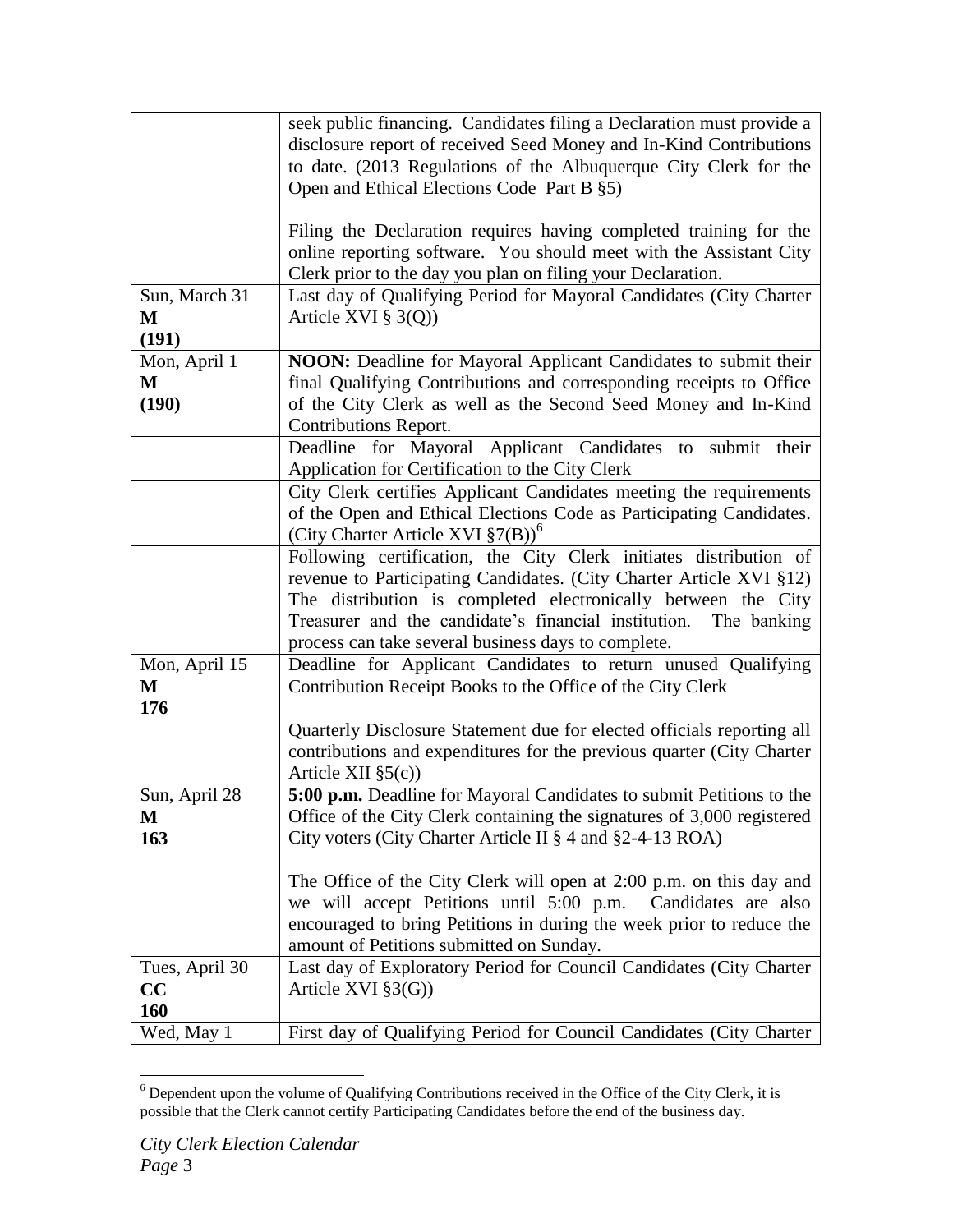|                | seek public financing. Candidates filing a Declaration must provide a  |
|----------------|------------------------------------------------------------------------|
|                | disclosure report of received Seed Money and In-Kind Contributions     |
|                | to date. (2013 Regulations of the Albuquerque City Clerk for the       |
|                | Open and Ethical Elections Code Part B §5)                             |
|                |                                                                        |
|                | Filing the Declaration requires having completed training for the      |
|                | online reporting software. You should meet with the Assistant City     |
|                |                                                                        |
|                | Clerk prior to the day you plan on filing your Declaration.            |
| Sun, March 31  | Last day of Qualifying Period for Mayoral Candidates (City Charter     |
| М              | Article XVI $\S$ 3(Q))                                                 |
| (191)          |                                                                        |
| Mon, April 1   | <b>NOON:</b> Deadline for Mayoral Applicant Candidates to submit their |
| М              | final Qualifying Contributions and corresponding receipts to Office    |
| (190)          | of the City Clerk as well as the Second Seed Money and In-Kind         |
|                | <b>Contributions Report.</b>                                           |
|                | Deadline for Mayoral Applicant Candidates to<br>submit their           |
|                | Application for Certification to the City Clerk                        |
|                | City Clerk certifies Applicant Candidates meeting the requirements     |
|                | of the Open and Ethical Elections Code as Participating Candidates.    |
|                | (City Charter Article XVI $\S7(B)$ ) <sup>o</sup>                      |
|                | Following certification, the City Clerk initiates distribution of      |
|                | revenue to Participating Candidates. (City Charter Article XVI §12)    |
|                |                                                                        |
|                | The distribution is completed electronically between the City          |
|                | Treasurer and the candidate's financial institution.<br>The banking    |
|                | process can take several business days to complete.                    |
| Mon, April 15  | Deadline for Applicant Candidates to return unused Qualifying          |
| M              | Contribution Receipt Books to the Office of the City Clerk             |
| 176            |                                                                        |
|                | Quarterly Disclosure Statement due for elected officials reporting all |
|                | contributions and expenditures for the previous quarter (City Charter  |
|                | Article XII $\S5(c)$                                                   |
| Sun, April 28  | 5:00 p.m. Deadline for Mayoral Candidates to submit Petitions to the   |
| М              | Office of the City Clerk containing the signatures of 3,000 registered |
| 163            | City voters (City Charter Article II § 4 and §2-4-13 ROA)              |
|                |                                                                        |
|                | The Office of the City Clerk will open at 2:00 p.m. on this day and    |
|                | we will accept Petitions until 5:00 p.m.<br>Candidates are also        |
|                | encouraged to bring Petitions in during the week prior to reduce the   |
|                | amount of Petitions submitted on Sunday.                               |
| Tues, April 30 | Last day of Exploratory Period for Council Candidates (City Charter    |
| CC             | Article XVI $\S3(G)$ )                                                 |
|                |                                                                        |
| 160            |                                                                        |
| Wed, May 1     | First day of Qualifying Period for Council Candidates (City Charter    |

 $\overline{a}$  $6$  Dependent upon the volume of Qualifying Contributions received in the Office of the City Clerk, it is possible that the Clerk cannot certify Participating Candidates before the end of the business day.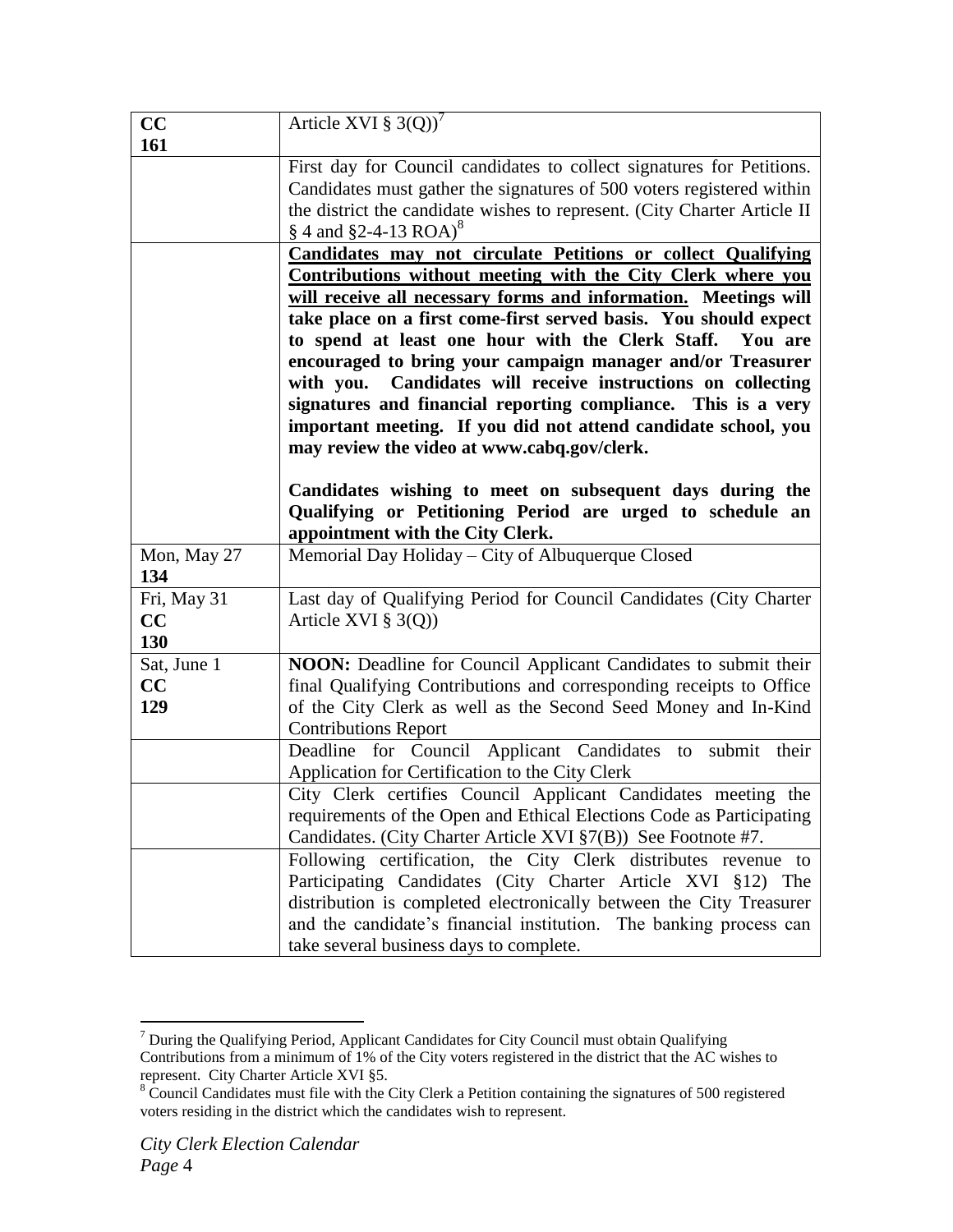| CC                       | Article XVI $\S$ 3(Q)) <sup>7</sup>                                                                                                                                                                                                                                                                                                                                                                                                                                                                                                                                                                    |
|--------------------------|--------------------------------------------------------------------------------------------------------------------------------------------------------------------------------------------------------------------------------------------------------------------------------------------------------------------------------------------------------------------------------------------------------------------------------------------------------------------------------------------------------------------------------------------------------------------------------------------------------|
| 161                      |                                                                                                                                                                                                                                                                                                                                                                                                                                                                                                                                                                                                        |
|                          | First day for Council candidates to collect signatures for Petitions.<br>Candidates must gather the signatures of 500 voters registered within<br>the district the candidate wishes to represent. (City Charter Article II)<br>§ 4 and §2-4-13 ROA) <sup>8</sup>                                                                                                                                                                                                                                                                                                                                       |
|                          | <b>Candidates may not circulate Petitions or collect Qualifying</b><br>Contributions without meeting with the City Clerk where you<br>will receive all necessary forms and information. Meetings will<br>take place on a first come-first served basis. You should expect<br>to spend at least one hour with the Clerk Staff. You are<br>encouraged to bring your campaign manager and/or Treasurer<br>with you. Candidates will receive instructions on collecting<br>signatures and financial reporting compliance. This is a very<br>important meeting. If you did not attend candidate school, you |
|                          | may review the video at www.cabq.gov/clerk.<br>Candidates wishing to meet on subsequent days during the<br>Qualifying or Petitioning Period are urged to schedule an<br>appointment with the City Clerk.                                                                                                                                                                                                                                                                                                                                                                                               |
| Mon, May 27<br>134       | Memorial Day Holiday - City of Albuquerque Closed                                                                                                                                                                                                                                                                                                                                                                                                                                                                                                                                                      |
| Fri, May 31<br>CC<br>130 | Last day of Qualifying Period for Council Candidates (City Charter<br>Article XVI $\S$ 3(Q))                                                                                                                                                                                                                                                                                                                                                                                                                                                                                                           |
| Sat, June 1<br>CC<br>129 | <b>NOON:</b> Deadline for Council Applicant Candidates to submit their<br>final Qualifying Contributions and corresponding receipts to Office<br>of the City Clerk as well as the Second Seed Money and In-Kind<br><b>Contributions Report</b>                                                                                                                                                                                                                                                                                                                                                         |
|                          | Deadline for Council Applicant Candidates to<br>submit their<br>Application for Certification to the City Clerk                                                                                                                                                                                                                                                                                                                                                                                                                                                                                        |
|                          | City Clerk certifies Council Applicant Candidates meeting the<br>requirements of the Open and Ethical Elections Code as Participating<br>Candidates. (City Charter Article XVI §7(B)) See Footnote #7.                                                                                                                                                                                                                                                                                                                                                                                                 |
|                          | Following certification, the City Clerk distributes revenue to<br>Participating Candidates (City Charter Article XVI §12) The<br>distribution is completed electronically between the City Treasurer<br>and the candidate's financial institution. The banking process can<br>take several business days to complete.                                                                                                                                                                                                                                                                                  |

 $\overline{a}$  $7$  During the Qualifying Period, Applicant Candidates for City Council must obtain Qualifying Contributions from a minimum of 1% of the City voters registered in the district that the AC wishes to represent. City Charter Article XVI §5.

 $8 \text{ Council Candidates must file with the City Clerk a Petition containing the signatures of 500 registered.}$ voters residing in the district which the candidates wish to represent.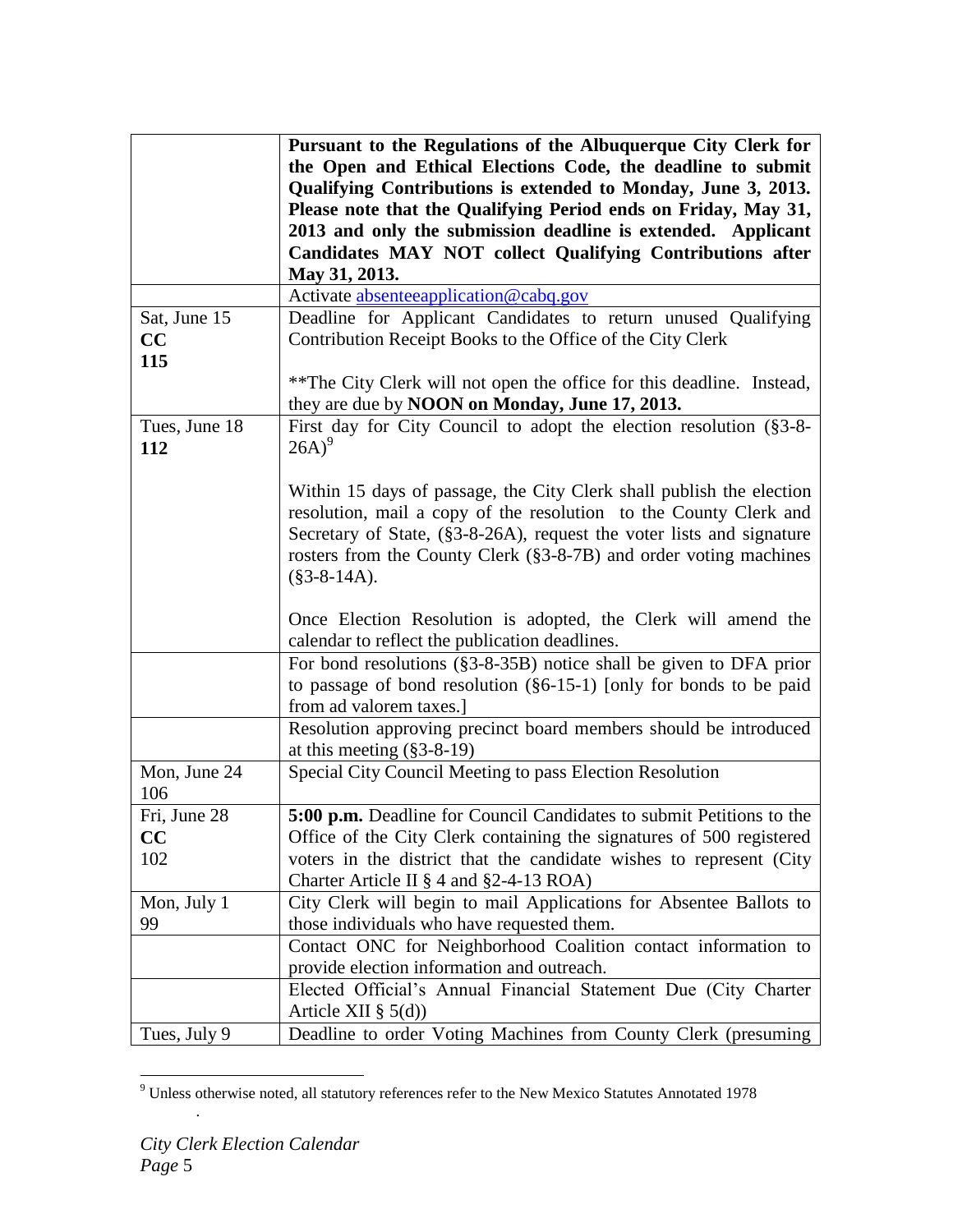|               | Pursuant to the Regulations of the Albuquerque City Clerk for             |
|---------------|---------------------------------------------------------------------------|
|               | the Open and Ethical Elections Code, the deadline to submit               |
|               | Qualifying Contributions is extended to Monday, June 3, 2013.             |
|               | Please note that the Qualifying Period ends on Friday, May 31,            |
|               | 2013 and only the submission deadline is extended. Applicant              |
|               | Candidates MAY NOT collect Qualifying Contributions after                 |
|               | May 31, 2013.                                                             |
|               | Activate absenteeapplication@cabq.gov                                     |
| Sat, June 15  | Deadline for Applicant Candidates to return unused Qualifying             |
| CC            | Contribution Receipt Books to the Office of the City Clerk                |
| 115           |                                                                           |
|               | ** The City Clerk will not open the office for this deadline. Instead,    |
|               | they are due by NOON on Monday, June 17, 2013.                            |
| Tues, June 18 | First day for City Council to adopt the election resolution (§3-8-        |
| 112           | $26A)^9$                                                                  |
|               |                                                                           |
|               | Within 15 days of passage, the City Clerk shall publish the election      |
|               | resolution, mail a copy of the resolution to the County Clerk and         |
|               | Secretary of State, (§3-8-26A), request the voter lists and signature     |
|               | rosters from the County Clerk (§3-8-7B) and order voting machines         |
|               | $(\$3-8-14A).$                                                            |
|               |                                                                           |
|               | Once Election Resolution is adopted, the Clerk will amend the             |
|               | calendar to reflect the publication deadlines.                            |
|               | For bond resolutions $(\S3 - 8 - 35B)$ notice shall be given to DFA prior |
|               | to passage of bond resolution $(\S6-15-1)$ [only for bonds to be paid     |
|               | from ad valorem taxes.]                                                   |
|               | Resolution approving precinct board members should be introduced          |
|               | at this meeting $(\S 3 - 8 - 19)$                                         |
| Mon, June 24  | Special City Council Meeting to pass Election Resolution                  |
| 106           |                                                                           |
| Fri, June 28  | 5:00 p.m. Deadline for Council Candidates to submit Petitions to the      |
| CC            | Office of the City Clerk containing the signatures of 500 registered      |
| 102           | voters in the district that the candidate wishes to represent (City       |
|               | Charter Article II $\S 4$ and $\S 2-4-13$ ROA)                            |
| Mon, July 1   | City Clerk will begin to mail Applications for Absentee Ballots to        |
| 99            | those individuals who have requested them.                                |
|               | Contact ONC for Neighborhood Coalition contact information to             |
|               | provide election information and outreach.                                |
|               | Elected Official's Annual Financial Statement Due (City Charter           |
|               | Article XII $\S$ 5(d))                                                    |
| Tues, July 9  | Deadline to order Voting Machines from County Clerk (presuming            |

 $\overline{a}$  $9$  Unless otherwise noted, all statutory references refer to the New Mexico Statutes Annotated 1978

.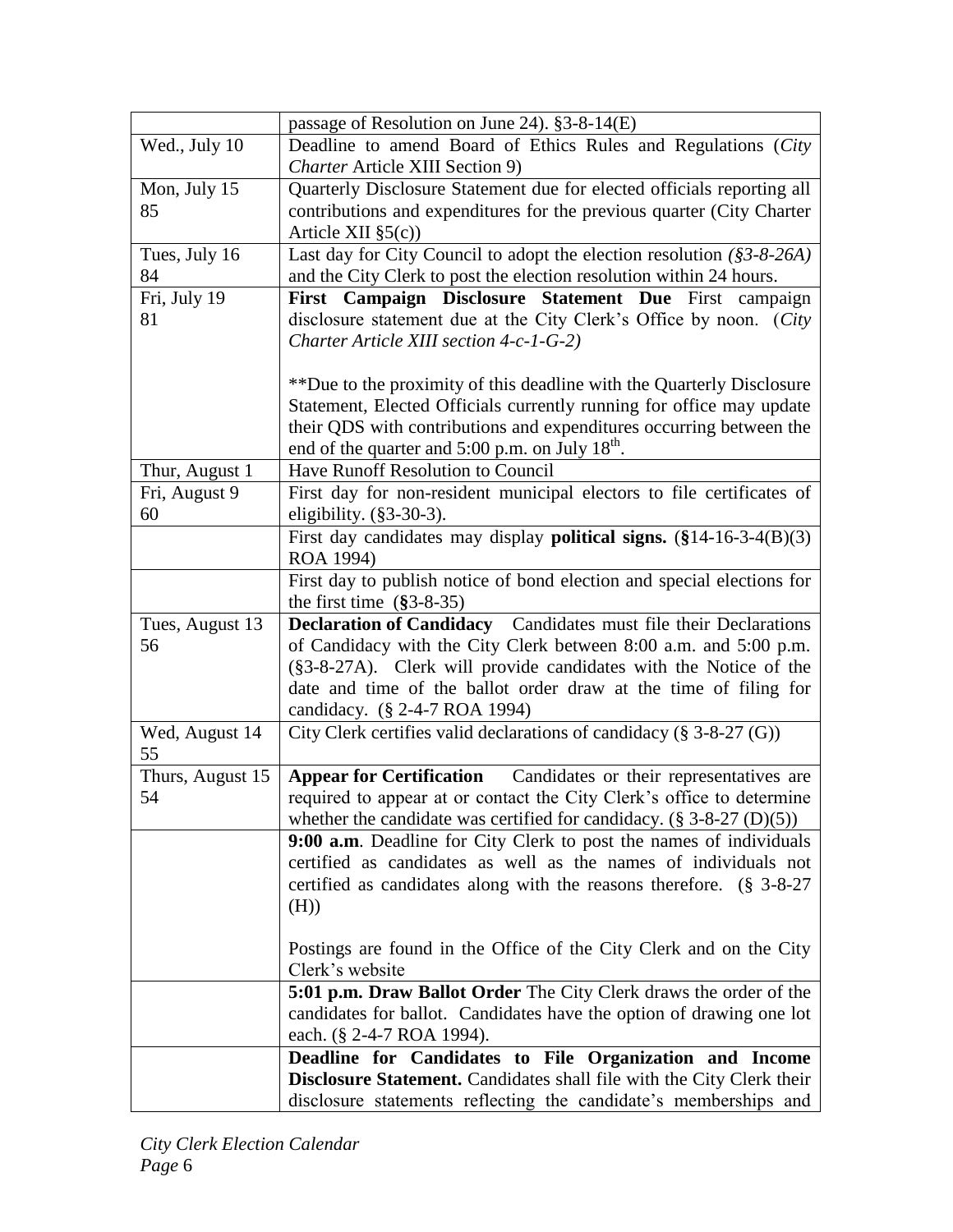|                  | passage of Resolution on June 24). $§3-8-14(E)$                               |
|------------------|-------------------------------------------------------------------------------|
| Wed., July 10    | Deadline to amend Board of Ethics Rules and Regulations (City                 |
|                  | Charter Article XIII Section 9)                                               |
| Mon, July 15     | Quarterly Disclosure Statement due for elected officials reporting all        |
| 85               | contributions and expenditures for the previous quarter (City Charter         |
|                  | Article XII $\S5(c)$                                                          |
| Tues, July 16    | Last day for City Council to adopt the election resolution (§3-8-26A)         |
| 84               | and the City Clerk to post the election resolution within 24 hours.           |
| Fri, July 19     | First Campaign Disclosure Statement Due First campaign                        |
| 81               | disclosure statement due at the City Clerk's Office by noon. (City            |
|                  | Charter Article XIII section 4-c-1-G-2)                                       |
|                  |                                                                               |
|                  | **Due to the proximity of this deadline with the Quarterly Disclosure         |
|                  | Statement, Elected Officials currently running for office may update          |
|                  | their QDS with contributions and expenditures occurring between the           |
|                  | end of the quarter and $5:00$ p.m. on July $18^{th}$ .                        |
| Thur, August 1   | Have Runoff Resolution to Council                                             |
| Fri, August 9    | First day for non-resident municipal electors to file certificates of         |
| 60               | eligibility. $(\S 3 - 30 - 3)$ .                                              |
|                  | First day candidates may display <b>political signs.</b> $(\$14-16-3-4(B)(3)$ |
|                  | ROA 1994)                                                                     |
|                  | First day to publish notice of bond election and special elections for        |
|                  | the first time $(\$3-8-35)$                                                   |
|                  |                                                                               |
| Tues, August 13  | <b>Declaration of Candidacy</b> Candidates must file their Declarations       |
| 56               | of Candidacy with the City Clerk between 8:00 a.m. and 5:00 p.m.              |
|                  | (§3-8-27A). Clerk will provide candidates with the Notice of the              |
|                  | date and time of the ballot order draw at the time of filing for              |
|                  | candidacy. (§ 2-4-7 ROA 1994)                                                 |
| Wed, August 14   | City Clerk certifies valid declarations of candidacy (§ 3-8-27 (G))           |
| 55               |                                                                               |
| Thurs, August 15 | <b>Appear for Certification</b><br>Candidates or their representatives are    |
| 54               | required to appear at or contact the City Clerk's office to determine         |
|                  | whether the candidate was certified for candidacy. $(\S 3-8-27 (D)(5))$       |
|                  | 9:00 a.m. Deadline for City Clerk to post the names of individuals            |
|                  | certified as candidates as well as the names of individuals not               |
|                  | certified as candidates along with the reasons therefore. (§ 3-8-27           |
|                  | (H))                                                                          |
|                  | Postings are found in the Office of the City Clerk and on the City            |
|                  | Clerk's website                                                               |
|                  | 5:01 p.m. Draw Ballot Order The City Clerk draws the order of the             |
|                  | candidates for ballot. Candidates have the option of drawing one lot          |
|                  | each. (§ 2-4-7 ROA 1994).                                                     |
|                  | Deadline for Candidates to File Organization and Income                       |
|                  | <b>Disclosure Statement.</b> Candidates shall file with the City Clerk their  |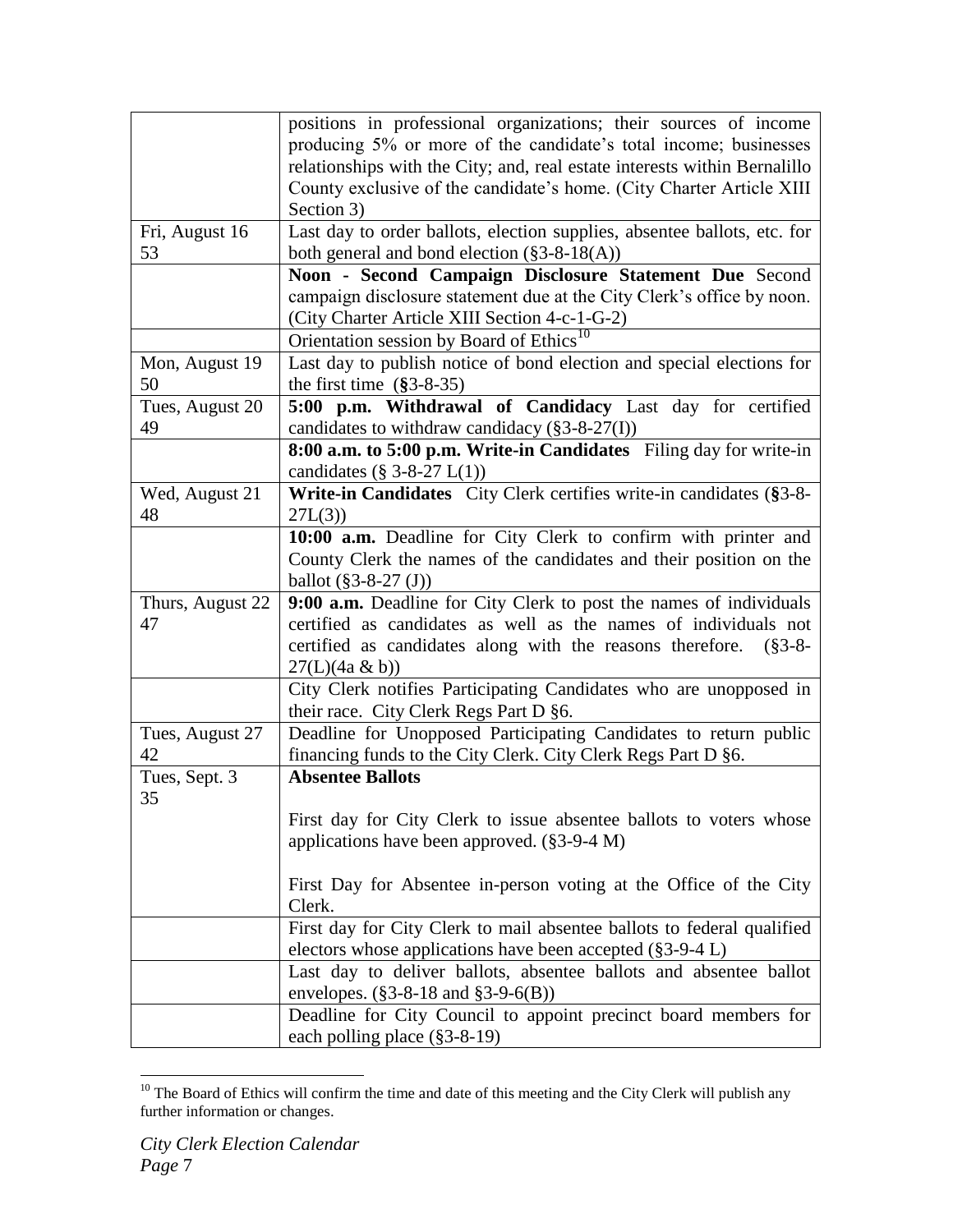|                  | positions in professional organizations; their sources of income                                |
|------------------|-------------------------------------------------------------------------------------------------|
|                  | producing 5% or more of the candidate's total income; businesses                                |
|                  | relationships with the City; and, real estate interests within Bernalillo                       |
|                  |                                                                                                 |
|                  | County exclusive of the candidate's home. (City Charter Article XIII                            |
|                  | Section 3)                                                                                      |
| Fri, August 16   | Last day to order ballots, election supplies, absentee ballots, etc. for                        |
| 53               | both general and bond election $(\$3-8-18(A))$                                                  |
|                  | Noon - Second Campaign Disclosure Statement Due Second                                          |
|                  | campaign disclosure statement due at the City Clerk's office by noon.                           |
|                  | (City Charter Article XIII Section 4-c-1-G-2)                                                   |
|                  | Orientation session by Board of Ethics <sup>10</sup>                                            |
| Mon, August 19   | Last day to publish notice of bond election and special elections for                           |
| 50               | the first time $(\$3-8-35)$                                                                     |
|                  |                                                                                                 |
| Tues, August 20  | 5:00 p.m. Withdrawal of Candidacy Last day for certified                                        |
| 49               | candidates to withdraw candidacy $(\$3-8-27(I))$                                                |
|                  | 8:00 a.m. to 5:00 p.m. Write-in Candidates Filing day for write-in                              |
|                  | candidates $(\S 3-8-27 L(1))$                                                                   |
| Wed, August 21   | Write-in Candidates City Clerk certifies write-in candidates (§3-8-                             |
| 48               | 27L(3)                                                                                          |
|                  | 10:00 a.m. Deadline for City Clerk to confirm with printer and                                  |
|                  | County Clerk the names of the candidates and their position on the                              |
|                  | ballot $(\$3-8-27(J))$                                                                          |
| Thurs, August 22 | 9:00 a.m. Deadline for City Clerk to post the names of individuals                              |
| 47               | certified as candidates as well as the names of individuals not                                 |
|                  | certified as candidates along with the reasons therefore. (§3-8-                                |
|                  | $27(L)(4a \& b))$                                                                               |
|                  | City Clerk notifies Participating Candidates who are unopposed in                               |
|                  |                                                                                                 |
|                  | their race. City Clerk Regs Part D §6.                                                          |
| Tues, August 27  | Deadline for Unopposed Participating Candidates to return public                                |
| 42               | financing funds to the City Clerk. City Clerk Regs Part D §6.                                   |
| Tues, Sept. 3    | <b>Absentee Ballots</b>                                                                         |
| 35               |                                                                                                 |
|                  | First day for City Clerk to issue absentee ballots to voters whose                              |
|                  | applications have been approved. $(\S 3$ -9-4 M)                                                |
|                  |                                                                                                 |
|                  | First Day for Absentee in-person voting at the Office of the City                               |
|                  | Clerk.                                                                                          |
|                  |                                                                                                 |
|                  |                                                                                                 |
|                  | First day for City Clerk to mail absentee ballots to federal qualified                          |
|                  | electors whose applications have been accepted $(\S 3$ -9-4 L)                                  |
|                  | Last day to deliver ballots, absentee ballots and absentee ballot                               |
|                  | envelopes. $(\$3-8-18 \text{ and } \$3-9-6(B))$                                                 |
|                  | Deadline for City Council to appoint precinct board members for<br>each polling place (§3-8-19) |

 $\overline{a}$  $10$  The Board of Ethics will confirm the time and date of this meeting and the City Clerk will publish any further information or changes.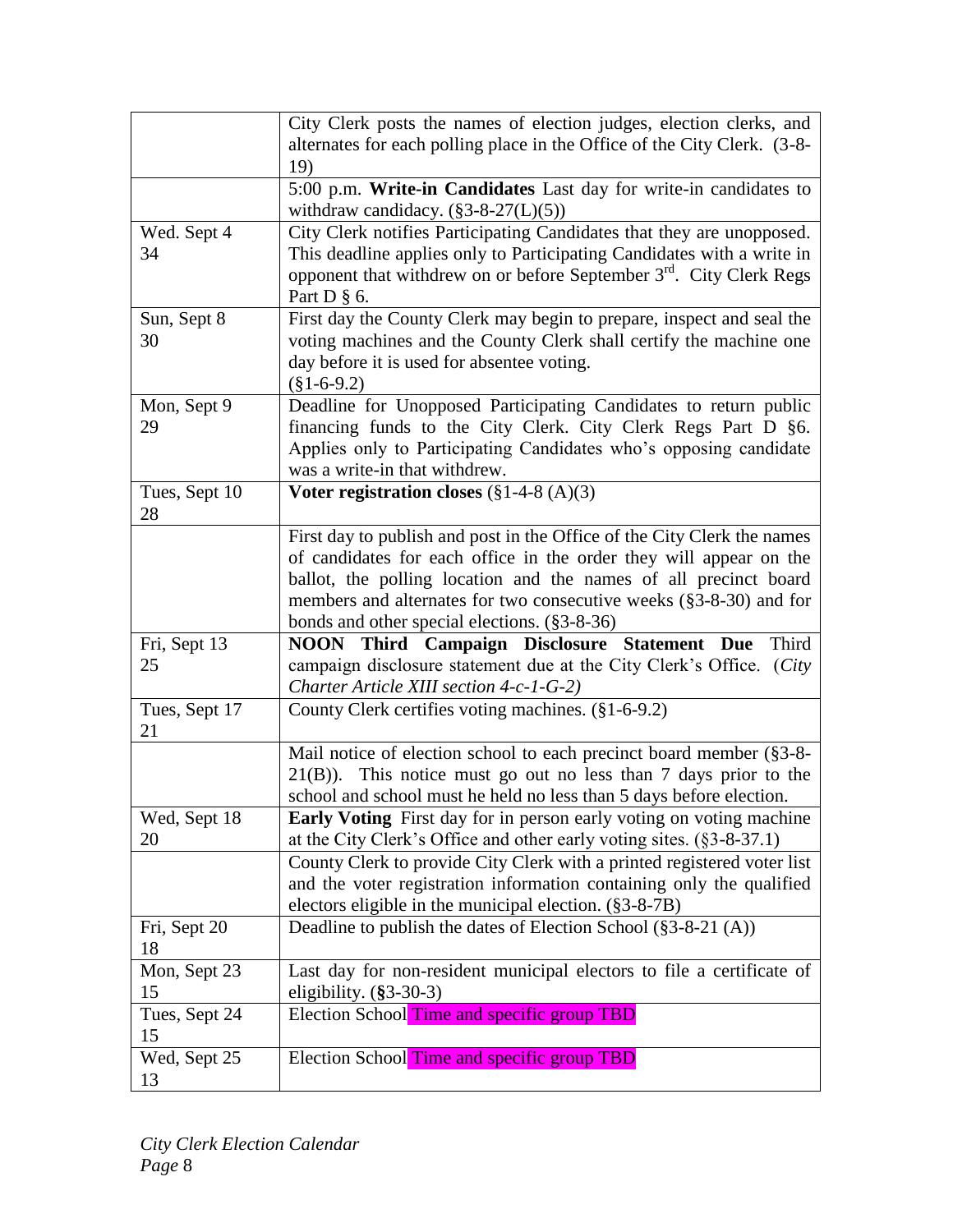|                     | City Clerk posts the names of election judges, election clerks, and                                                               |
|---------------------|-----------------------------------------------------------------------------------------------------------------------------------|
|                     | alternates for each polling place in the Office of the City Clerk. (3-8-                                                          |
|                     | 19)                                                                                                                               |
|                     | 5:00 p.m. Write-in Candidates Last day for write-in candidates to                                                                 |
|                     | withdraw candidacy. $(\$3-8-27(L)(5))$                                                                                            |
| Wed. Sept 4         | City Clerk notifies Participating Candidates that they are unopposed.                                                             |
| 34                  | This deadline applies only to Participating Candidates with a write in                                                            |
|                     | opponent that withdrew on or before September 3 <sup>rd</sup> . City Clerk Regs                                                   |
|                     | Part $D \S 6$ .                                                                                                                   |
| Sun, Sept 8         | First day the County Clerk may begin to prepare, inspect and seal the                                                             |
| 30                  | voting machines and the County Clerk shall certify the machine one                                                                |
|                     | day before it is used for absentee voting.                                                                                        |
|                     | $(\$1-6-9.2)$                                                                                                                     |
| Mon, Sept 9<br>29   | Deadline for Unopposed Participating Candidates to return public<br>financing funds to the City Clerk. City Clerk Regs Part D §6. |
|                     | Applies only to Participating Candidates who's opposing candidate                                                                 |
|                     | was a write-in that withdrew.                                                                                                     |
| Tues, Sept 10       | Voter registration closes $(\S 1-4-8 (A)(3))$                                                                                     |
| 28                  |                                                                                                                                   |
|                     | First day to publish and post in the Office of the City Clerk the names                                                           |
|                     | of candidates for each office in the order they will appear on the                                                                |
|                     | ballot, the polling location and the names of all precinct board                                                                  |
|                     | members and alternates for two consecutive weeks (§3-8-30) and for                                                                |
|                     | bonds and other special elections. (§3-8-36)                                                                                      |
| Fri, Sept 13        | <b>NOON</b> Third Campaign Disclosure Statement Due<br>Third                                                                      |
| 25                  | campaign disclosure statement due at the City Clerk's Office. (City                                                               |
|                     | Charter Article XIII section 4-c-1-G-2)                                                                                           |
| Tues, Sept 17       | County Clerk certifies voting machines. (§1-6-9.2)                                                                                |
| 21                  |                                                                                                                                   |
|                     | Mail notice of election school to each precinct board member (§3-8-                                                               |
|                     | $21(B)$ ). This notice must go out no less than 7 days prior to the                                                               |
|                     | school and school must he held no less than 5 days before election.                                                               |
| Wed, Sept 18        | <b>Early Voting</b> First day for in person early voting on voting machine                                                        |
| 20                  | at the City Clerk's Office and other early voting sites. $(\S 3$ -8-37.1)                                                         |
|                     | County Clerk to provide City Clerk with a printed registered voter list                                                           |
|                     | and the voter registration information containing only the qualified                                                              |
|                     | electors eligible in the municipal election. $(\S 3 - 8 - 7B)$                                                                    |
| Fri, Sept 20        | Deadline to publish the dates of Election School $(\S 3-8-21(A))$                                                                 |
| 18                  |                                                                                                                                   |
| Mon, Sept 23<br>15  | Last day for non-resident municipal electors to file a certificate of                                                             |
|                     | eligibility. $(\$3-30-3)$                                                                                                         |
| Tues, Sept 24<br>15 | Election School Time and specific group TBD                                                                                       |
|                     |                                                                                                                                   |
| Wed, Sept 25        | Election School Time and specific group TBD                                                                                       |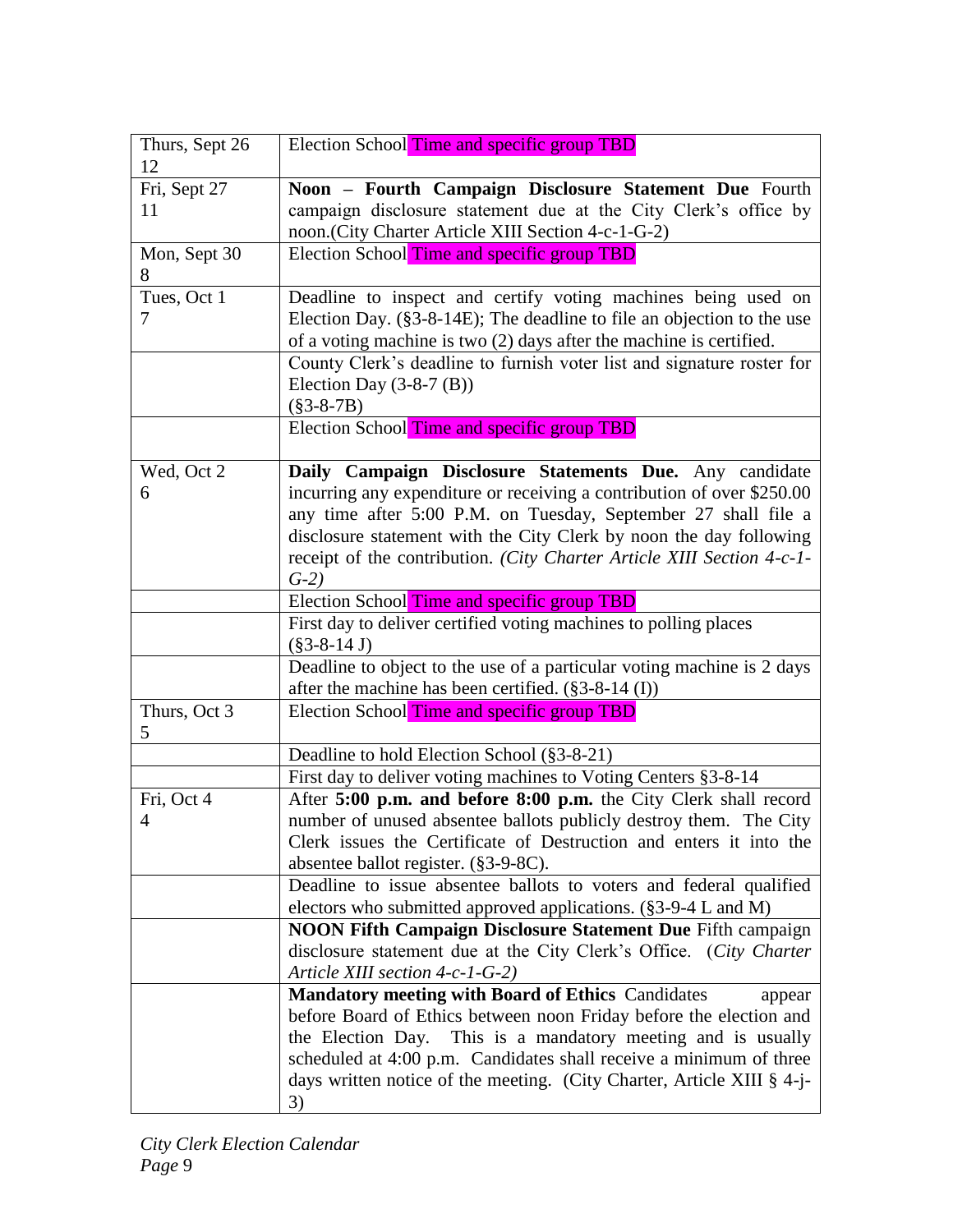| Thurs, Sept 26     | Election School Time and specific group TBD                                                                           |
|--------------------|-----------------------------------------------------------------------------------------------------------------------|
| 12                 |                                                                                                                       |
| Fri, Sept 27<br>11 | Noon - Fourth Campaign Disclosure Statement Due Fourth                                                                |
|                    | campaign disclosure statement due at the City Clerk's office by<br>noon.(City Charter Article XIII Section 4-c-1-G-2) |
| Mon, Sept 30       | Election School Time and specific group TBD                                                                           |
| 8                  |                                                                                                                       |
| Tues, Oct 1        | Deadline to inspect and certify voting machines being used on                                                         |
| 7                  | Election Day. $(\S 3 - 8 - 14E)$ ; The deadline to file an objection to the use                                       |
|                    | of a voting machine is two $(2)$ days after the machine is certified.                                                 |
|                    | County Clerk's deadline to furnish voter list and signature roster for                                                |
|                    | Election Day $(3-8-7)(B)$                                                                                             |
|                    | $(\$3-8-7B)$                                                                                                          |
|                    | Election School Time and specific group TBD                                                                           |
|                    |                                                                                                                       |
| Wed, Oct 2         | Daily Campaign Disclosure Statements Due. Any candidate                                                               |
| 6                  | incurring any expenditure or receiving a contribution of over \$250.00                                                |
|                    | any time after 5:00 P.M. on Tuesday, September 27 shall file a                                                        |
|                    | disclosure statement with the City Clerk by noon the day following                                                    |
|                    | receipt of the contribution. (City Charter Article XIII Section 4-c-1-                                                |
|                    | $G-2$                                                                                                                 |
|                    | Election School Time and specific group TBD                                                                           |
|                    | First day to deliver certified voting machines to polling places                                                      |
|                    | $(\$3-8-14 J)$                                                                                                        |
|                    | Deadline to object to the use of a particular voting machine is 2 days                                                |
|                    | after the machine has been certified. $(\$3-8-14$ (I))                                                                |
| Thurs, Oct 3<br>5  | Election School Time and specific group TBD                                                                           |
|                    | Deadline to hold Election School (§3-8-21)                                                                            |
|                    | First day to deliver voting machines to Voting Centers §3-8-14                                                        |
| Fri, Oct 4         | After 5:00 p.m. and before 8:00 p.m. the City Clerk shall record                                                      |
| $\overline{4}$     | number of unused absentee ballots publicly destroy them. The City                                                     |
|                    | Clerk issues the Certificate of Destruction and enters it into the                                                    |
|                    | absentee ballot register. (§3-9-8C).                                                                                  |
|                    | Deadline to issue absentee ballots to voters and federal qualified                                                    |
|                    | electors who submitted approved applications. (§3-9-4 L and M)                                                        |
|                    | <b>NOON Fifth Campaign Disclosure Statement Due Fifth campaign</b>                                                    |
|                    | disclosure statement due at the City Clerk's Office. (City Charter                                                    |
|                    | Article XIII section 4-c-1-G-2)                                                                                       |
|                    | <b>Mandatory meeting with Board of Ethics Candidates</b><br>appear                                                    |
|                    | before Board of Ethics between noon Friday before the election and                                                    |
|                    | the Election Day. This is a mandatory meeting and is usually                                                          |
|                    | scheduled at 4:00 p.m. Candidates shall receive a minimum of three                                                    |
|                    | days written notice of the meeting. (City Charter, Article XIII § 4-j-                                                |
|                    | 3)                                                                                                                    |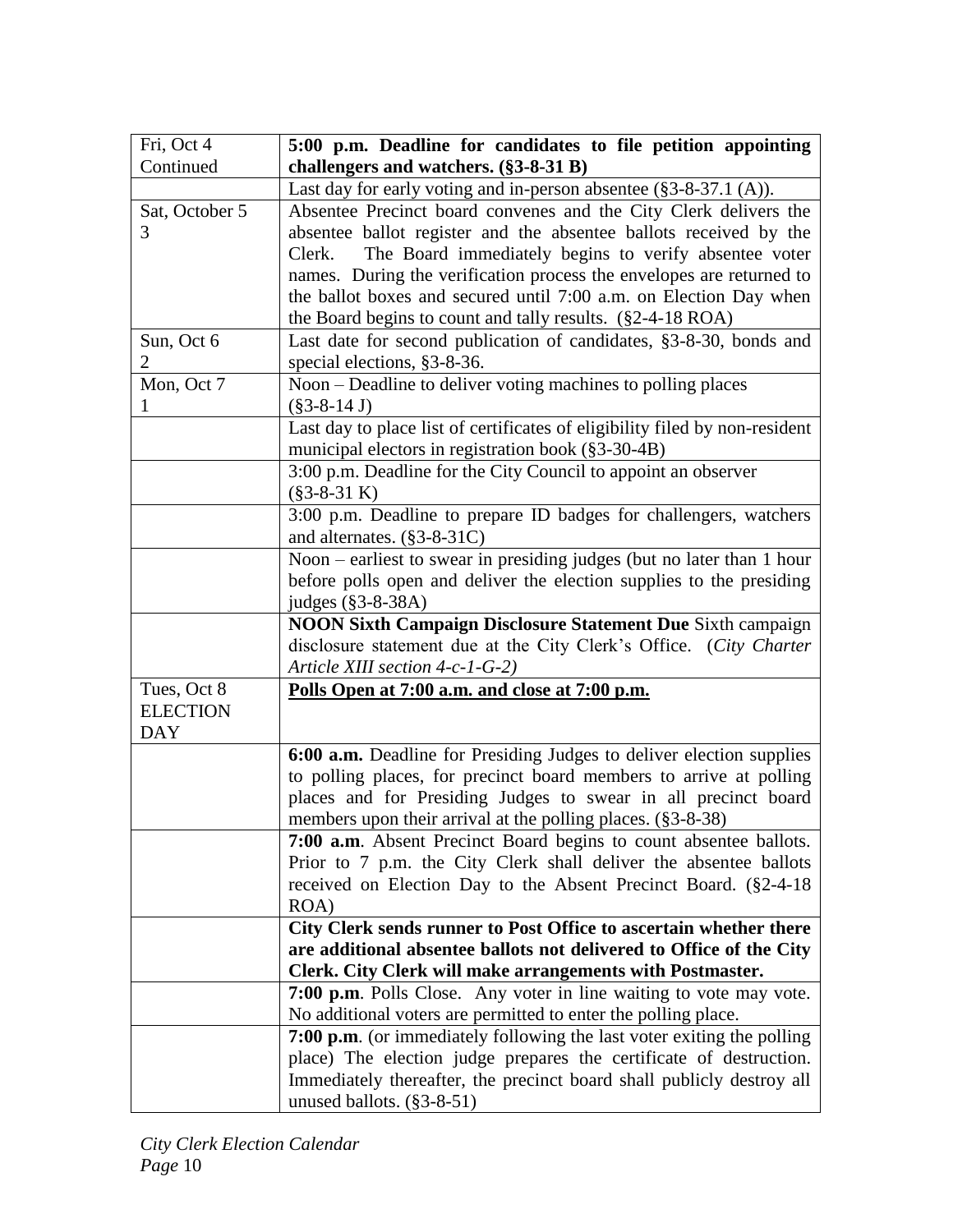| Fri, Oct 4      | 5:00 p.m. Deadline for candidates to file petition appointing                                                                              |
|-----------------|--------------------------------------------------------------------------------------------------------------------------------------------|
| Continued       | challengers and watchers. (§3-8-31 B)                                                                                                      |
|                 | Last day for early voting and in-person absentee (§3-8-37.1 (A)).                                                                          |
| Sat, October 5  | Absentee Precinct board convenes and the City Clerk delivers the                                                                           |
| 3               | absentee ballot register and the absentee ballots received by the                                                                          |
|                 | The Board immediately begins to verify absentee voter<br>Clerk.                                                                            |
|                 | names. During the verification process the envelopes are returned to                                                                       |
|                 | the ballot boxes and secured until 7:00 a.m. on Election Day when                                                                          |
|                 | the Board begins to count and tally results. $(\$2-4-18\text{ ROA})$                                                                       |
| Sun, Oct 6      | Last date for second publication of candidates, §3-8-30, bonds and                                                                         |
| $\overline{2}$  | special elections, §3-8-36.                                                                                                                |
| Mon, Oct 7      | Noon – Deadline to deliver voting machines to polling places                                                                               |
|                 | $(\$3-8-14 J)$                                                                                                                             |
|                 | Last day to place list of certificates of eligibility filed by non-resident<br>municipal electors in registration book (§3-30-4B)          |
|                 | 3:00 p.m. Deadline for the City Council to appoint an observer                                                                             |
|                 | $(\$3-8-31 K)$                                                                                                                             |
|                 | 3:00 p.m. Deadline to prepare ID badges for challengers, watchers                                                                          |
|                 | and alternates. (§3-8-31C)                                                                                                                 |
|                 | Noon – earliest to swear in presiding judges (but no later than 1 hour                                                                     |
|                 | before polls open and deliver the election supplies to the presiding                                                                       |
|                 | judges (§3-8-38A)                                                                                                                          |
|                 | <b>NOON Sixth Campaign Disclosure Statement Due Sixth campaign</b>                                                                         |
|                 | disclosure statement due at the City Clerk's Office. (City Charter                                                                         |
|                 | Article XIII section 4-c-1-G-2)                                                                                                            |
| Tues, Oct 8     | Polls Open at 7:00 a.m. and close at 7:00 p.m.                                                                                             |
| <b>ELECTION</b> |                                                                                                                                            |
| <b>DAY</b>      |                                                                                                                                            |
|                 | 6:00 a.m. Deadline for Presiding Judges to deliver election supplies<br>to polling places, for precinct board members to arrive at polling |
|                 | places and for Presiding Judges to swear in all precinct board                                                                             |
|                 | members upon their arrival at the polling places. (§3-8-38)                                                                                |
|                 | 7:00 a.m. Absent Precinct Board begins to count absentee ballots.                                                                          |
|                 | Prior to 7 p.m. the City Clerk shall deliver the absentee ballots                                                                          |
|                 | received on Election Day to the Absent Precinct Board. (§2-4-18)                                                                           |
|                 | ROA)                                                                                                                                       |
|                 | City Clerk sends runner to Post Office to ascertain whether there                                                                          |
|                 | are additional absentee ballots not delivered to Office of the City                                                                        |
|                 | Clerk. City Clerk will make arrangements with Postmaster.                                                                                  |
|                 | 7:00 p.m. Polls Close. Any voter in line waiting to vote may vote.                                                                         |
|                 | No additional voters are permitted to enter the polling place.                                                                             |
|                 | 7:00 p.m. (or immediately following the last voter exiting the polling                                                                     |
|                 | place) The election judge prepares the certificate of destruction.                                                                         |
|                 | Immediately thereafter, the precinct board shall publicly destroy all                                                                      |
|                 | unused ballots. $(\S 3-8-51)$                                                                                                              |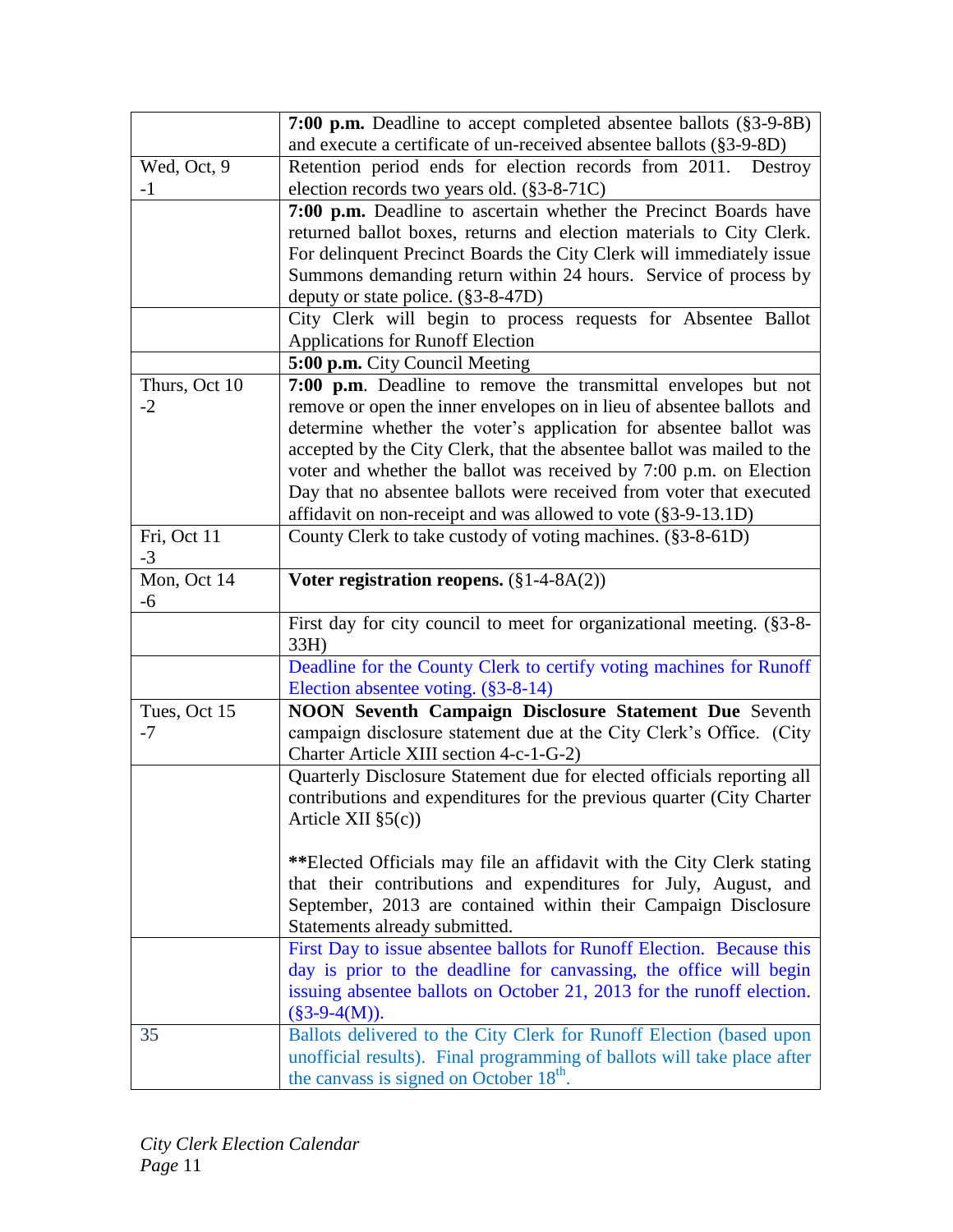|               | 7:00 p.m. Deadline to accept completed absentee ballots (§3-9-8B)       |
|---------------|-------------------------------------------------------------------------|
|               | and execute a certificate of un-received absentee ballots (§3-9-8D)     |
| Wed, Oct, 9   | Retention period ends for election records from 2011. Destroy           |
| $-1$          | election records two years old. (§3-8-71C)                              |
|               | 7:00 p.m. Deadline to ascertain whether the Precinct Boards have        |
|               | returned ballot boxes, returns and election materials to City Clerk.    |
|               | For delinquent Precinct Boards the City Clerk will immediately issue    |
|               | Summons demanding return within 24 hours. Service of process by         |
|               | deputy or state police. (§3-8-47D)                                      |
|               | City Clerk will begin to process requests for Absentee Ballot           |
|               | <b>Applications for Runoff Election</b>                                 |
|               | 5:00 p.m. City Council Meeting                                          |
| Thurs, Oct 10 | 7:00 p.m. Deadline to remove the transmittal envelopes but not          |
| $-2$          | remove or open the inner envelopes on in lieu of absentee ballots and   |
|               | determine whether the voter's application for absentee ballot was       |
|               | accepted by the City Clerk, that the absentee ballot was mailed to the  |
|               | voter and whether the ballot was received by 7:00 p.m. on Election      |
|               | Day that no absentee ballots were received from voter that executed     |
|               | affidavit on non-receipt and was allowed to vote $(\S 3$ -9-13.1D)      |
| Fri, Oct 11   | County Clerk to take custody of voting machines. (§3-8-61D)             |
| $-3$          |                                                                         |
| Mon, Oct 14   | Voter registration reopens. $(\S 1-4-8A(2))$                            |
| $-6$          |                                                                         |
|               | First day for city council to meet for organizational meeting. (§3-8-   |
|               | 33H)                                                                    |
|               | Deadline for the County Clerk to certify voting machines for Runoff     |
|               | Election absentee voting. (§3-8-14)                                     |
| Tues, Oct 15  | NOON Seventh Campaign Disclosure Statement Due Seventh                  |
| $-7$          | campaign disclosure statement due at the City Clerk's Office. (City     |
|               | Charter Article XIII section 4-c-1-G-2)                                 |
|               | Quarterly Disclosure Statement due for elected officials reporting all  |
|               | contributions and expenditures for the previous quarter (City Charter   |
|               | Article XII $\S5(c)$ )                                                  |
|               |                                                                         |
|               | **Elected Officials may file an affidavit with the City Clerk stating   |
|               | that their contributions and expenditures for July, August, and         |
|               | September, 2013 are contained within their Campaign Disclosure          |
|               | Statements already submitted.                                           |
|               | First Day to issue absentee ballots for Runoff Election. Because this   |
|               | day is prior to the deadline for canvassing, the office will begin      |
|               | issuing absentee ballots on October 21, 2013 for the runoff election.   |
|               | $(\$3-9-4(M)).$                                                         |
| 35            | Ballots delivered to the City Clerk for Runoff Election (based upon     |
|               | unofficial results). Final programming of ballots will take place after |
|               | the canvass is signed on October 18 <sup>th</sup> .                     |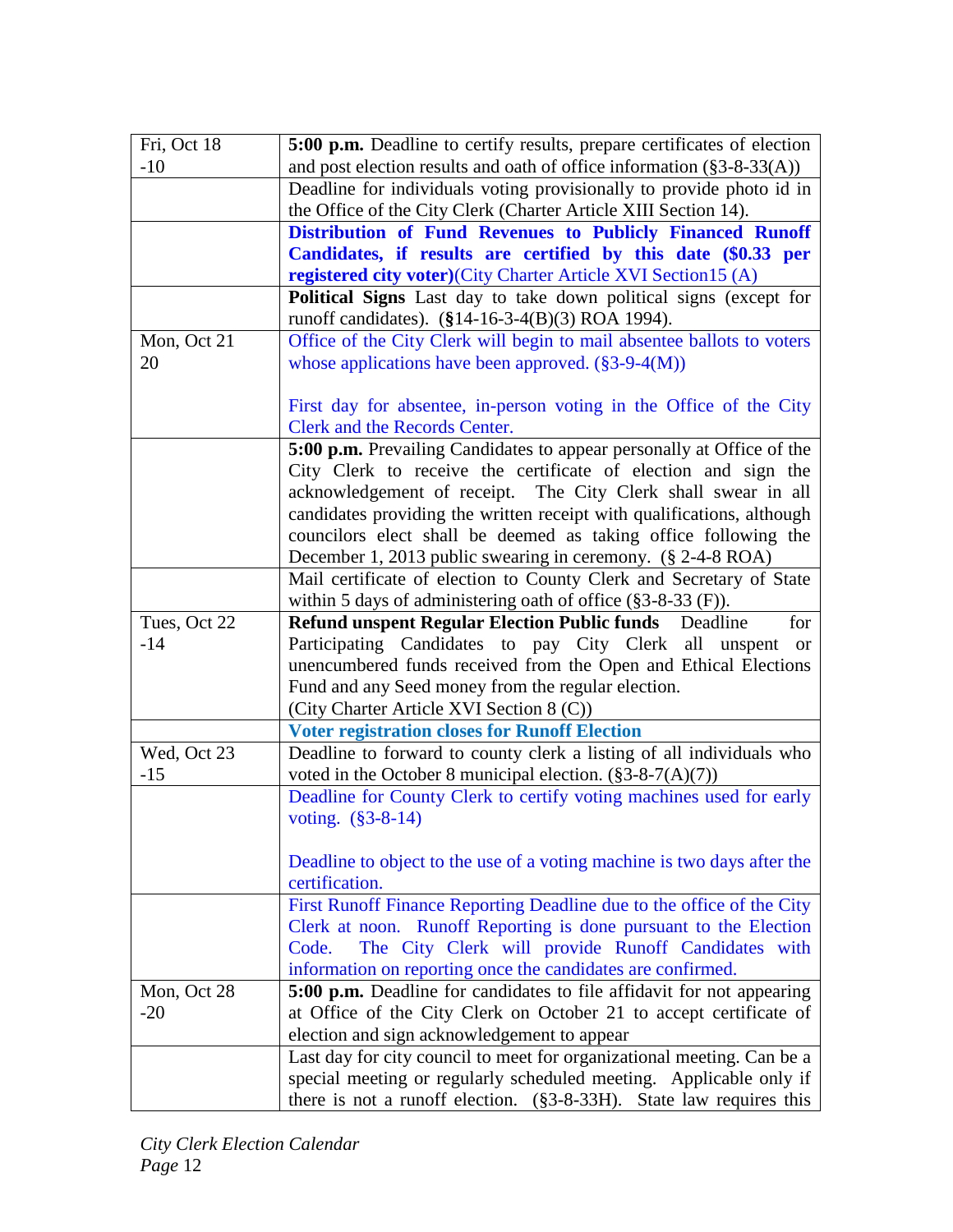| Fri, Oct 18  | 5:00 p.m. Deadline to certify results, prepare certificates of election                                           |
|--------------|-------------------------------------------------------------------------------------------------------------------|
| $-10$        | and post election results and oath of office information $(\S 3 - 8 - 33(A))$                                     |
|              | Deadline for individuals voting provisionally to provide photo id in                                              |
|              | the Office of the City Clerk (Charter Article XIII Section 14).                                                   |
|              | Distribution of Fund Revenues to Publicly Financed Runoff                                                         |
|              | Candidates, if results are certified by this date (\$0.33 per                                                     |
|              | registered city voter)(City Charter Article XVI Section15 (A)                                                     |
|              | <b>Political Signs</b> Last day to take down political signs (except for                                          |
|              | runoff candidates). (§14-16-3-4(B)(3) ROA 1994).                                                                  |
| Mon, Oct 21  | Office of the City Clerk will begin to mail absentee ballots to voters                                            |
| 20           | whose applications have been approved. $(\S 3$ -9-4(M))                                                           |
|              |                                                                                                                   |
|              | First day for absentee, in-person voting in the Office of the City                                                |
|              | Clerk and the Records Center.                                                                                     |
|              | 5:00 p.m. Prevailing Candidates to appear personally at Office of the                                             |
|              | City Clerk to receive the certificate of election and sign the                                                    |
|              | acknowledgement of receipt. The City Clerk shall swear in all                                                     |
|              | candidates providing the written receipt with qualifications, although                                            |
|              | councilors elect shall be deemed as taking office following the                                                   |
|              | December 1, 2013 public swearing in ceremony. (§ 2-4-8 ROA)                                                       |
|              | Mail certificate of election to County Clerk and Secretary of State                                               |
|              | within 5 days of administering oath of office $(\S 3 - 8 - 33)$ (F)).                                             |
| Tues, Oct 22 | <b>Refund unspent Regular Election Public funds</b> Deadline<br>for                                               |
| $-14$        | Participating Candidates to pay City Clerk all unspent<br><sub>or</sub>                                           |
|              | unencumbered funds received from the Open and Ethical Elections                                                   |
|              | Fund and any Seed money from the regular election.                                                                |
|              | (City Charter Article XVI Section 8 (C))                                                                          |
|              | <b>Voter registration closes for Runoff Election</b>                                                              |
| Wed, Oct 23  | Deadline to forward to county clerk a listing of all individuals who                                              |
| $-15$        | voted in the October 8 municipal election. $(\S 3 - 8 - 7(A)(7))$                                                 |
|              | Deadline for County Clerk to certify voting machines used for early                                               |
|              | voting. $(\$3-8-14)$                                                                                              |
|              |                                                                                                                   |
|              | Deadline to object to the use of a voting machine is two days after the<br>certification.                         |
|              |                                                                                                                   |
|              | First Runoff Finance Reporting Deadline due to the office of the City                                             |
|              | Clerk at noon. Runoff Reporting is done pursuant to the Election<br>Code.                                         |
|              | The City Clerk will provide Runoff Candidates with<br>information on reporting once the candidates are confirmed. |
| Mon, Oct 28  | 5:00 p.m. Deadline for candidates to file affidavit for not appearing                                             |
| $-20$        | at Office of the City Clerk on October 21 to accept certificate of                                                |
|              | election and sign acknowledgement to appear                                                                       |
|              | Last day for city council to meet for organizational meeting. Can be a                                            |
|              | special meeting or regularly scheduled meeting. Applicable only if                                                |
|              | there is not a runoff election. $(\S 3-8-33H)$ . State law requires this                                          |
|              |                                                                                                                   |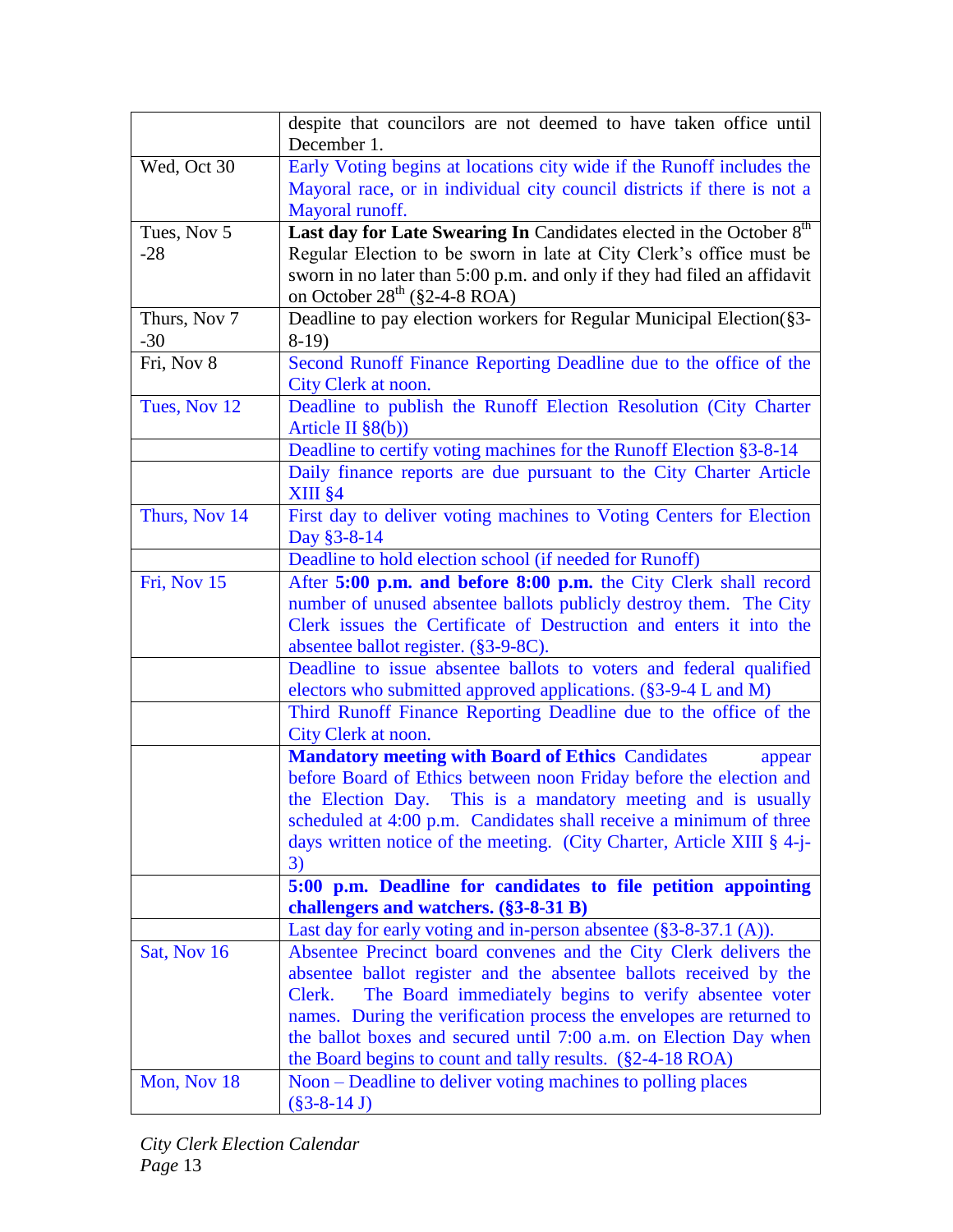|               | despite that councilors are not deemed to have taken office until               |
|---------------|---------------------------------------------------------------------------------|
|               | December 1.                                                                     |
| Wed, Oct 30   | Early Voting begins at locations city wide if the Runoff includes the           |
|               | Mayoral race, or in individual city council districts if there is not a         |
|               | Mayoral runoff.                                                                 |
| Tues, Nov 5   | Last day for Late Swearing In Candidates elected in the October 8 <sup>th</sup> |
| $-28$         | Regular Election to be sworn in late at City Clerk's office must be             |
|               | sworn in no later than 5:00 p.m. and only if they had filed an affidavit        |
|               | on October $28^{th}$ (§2-4-8 ROA)                                               |
| Thurs, Nov 7  | Deadline to pay election workers for Regular Municipal Election(§3-             |
| $-30$         | $8-19$                                                                          |
| Fri, Nov 8    | Second Runoff Finance Reporting Deadline due to the office of the               |
|               | City Clerk at noon.                                                             |
| Tues, Nov 12  | Deadline to publish the Runoff Election Resolution (City Charter                |
|               | Article II $\S(6)$                                                              |
|               | Deadline to certify voting machines for the Runoff Election §3-8-14             |
|               | Daily finance reports are due pursuant to the City Charter Article              |
|               | $XIII$ $§$ 4                                                                    |
| Thurs, Nov 14 | First day to deliver voting machines to Voting Centers for Election             |
|               | Day §3-8-14                                                                     |
|               | Deadline to hold election school (if needed for Runoff)                         |
| Fri, Nov 15   | After 5:00 p.m. and before 8:00 p.m. the City Clerk shall record                |
|               | number of unused absentee ballots publicly destroy them. The City               |
|               | Clerk issues the Certificate of Destruction and enters it into the              |
|               | absentee ballot register. (§3-9-8C).                                            |
|               | Deadline to issue absentee ballots to voters and federal qualified              |
|               | electors who submitted approved applications. (§3-9-4 L and M)                  |
|               | Third Runoff Finance Reporting Deadline due to the office of the                |
|               | City Clerk at noon.                                                             |
|               | <b>Mandatory meeting with Board of Ethics Candidates</b><br>appear              |
|               | before Board of Ethics between noon Friday before the election and              |
|               | the Election Day. This is a mandatory meeting and is usually                    |
|               | scheduled at 4:00 p.m. Candidates shall receive a minimum of three              |
|               | days written notice of the meeting. (City Charter, Article XIII § 4-j-          |
|               | 3)                                                                              |
|               | 5:00 p.m. Deadline for candidates to file petition appointing                   |
|               | challengers and watchers. $(\$3-8-31B)$                                         |
|               | Last day for early voting and in-person absentee $(\S 3 - 8 - 37.1)$ (A)).      |
| Sat, Nov 16   | Absentee Precinct board convenes and the City Clerk delivers the                |
|               | absentee ballot register and the absentee ballots received by the               |
|               | The Board immediately begins to verify absentee voter<br>Clerk.                 |
|               | names. During the verification process the envelopes are returned to            |
|               | the ballot boxes and secured until 7:00 a.m. on Election Day when               |
|               | the Board begins to count and tally results. $(\$2-4-18\text{ ROA})$            |
| Mon, Nov 18   | Noon – Deadline to deliver voting machines to polling places                    |
|               | $(\$3-8-14 J)$                                                                  |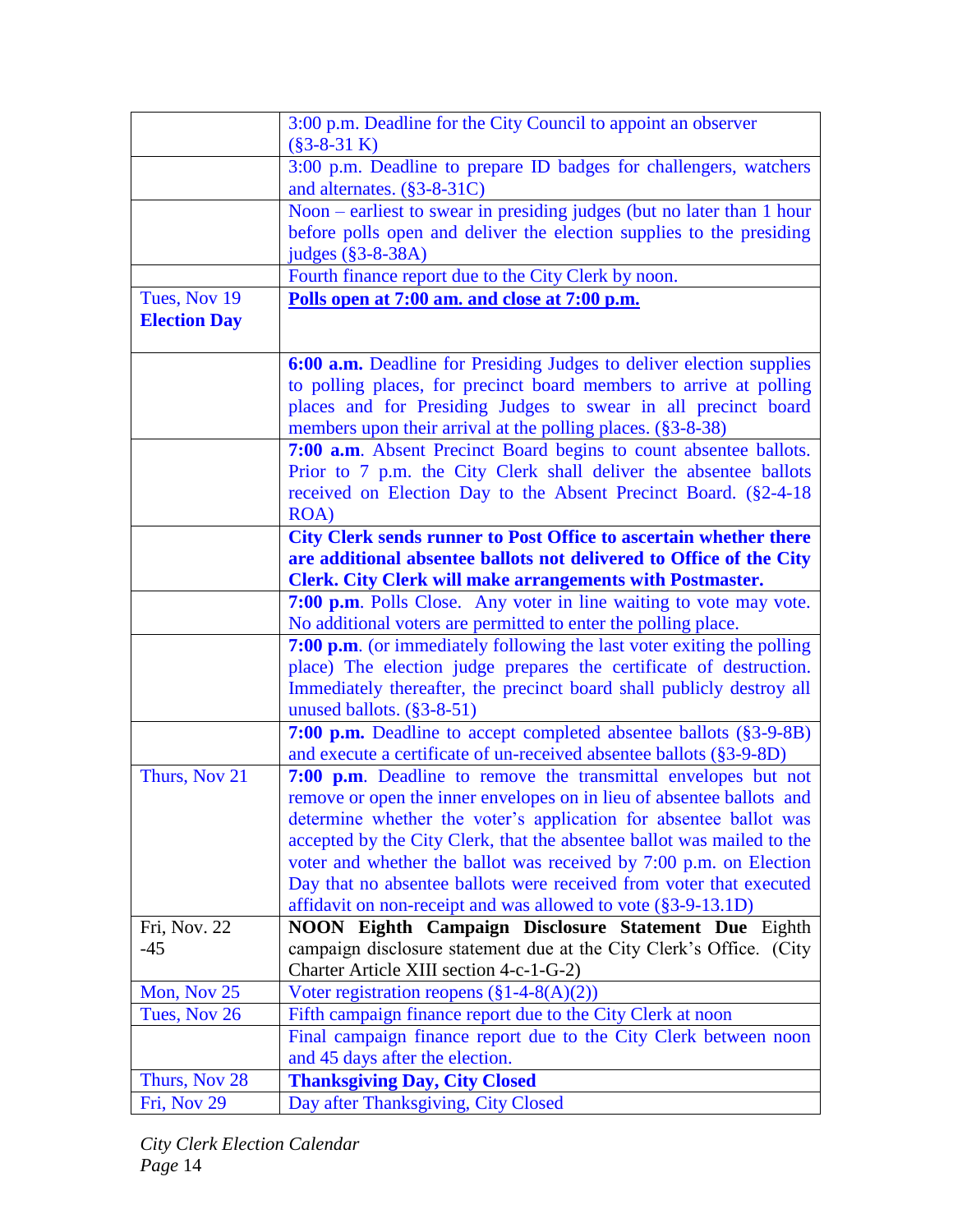|                     | 3:00 p.m. Deadline for the City Council to appoint an observer           |
|---------------------|--------------------------------------------------------------------------|
|                     | $(\$3-8-31 K)$                                                           |
|                     | 3:00 p.m. Deadline to prepare ID badges for challengers, watchers        |
|                     | and alternates. $(\S 3 - 8 - 31C)$                                       |
|                     | Noon – earliest to swear in presiding judges (but no later than 1 hour   |
|                     | before polls open and deliver the election supplies to the presiding     |
|                     | judges (§3-8-38A)                                                        |
|                     | Fourth finance report due to the City Clerk by noon.                     |
| Tues, Nov 19        | Polls open at 7:00 am. and close at 7:00 p.m.                            |
| <b>Election Day</b> |                                                                          |
|                     |                                                                          |
|                     | 6:00 a.m. Deadline for Presiding Judges to deliver election supplies     |
|                     | to polling places, for precinct board members to arrive at polling       |
|                     | places and for Presiding Judges to swear in all precinct board           |
|                     | members upon their arrival at the polling places. (§3-8-38)              |
|                     | 7:00 a.m. Absent Precinct Board begins to count absentee ballots.        |
|                     | Prior to 7 p.m. the City Clerk shall deliver the absentee ballots        |
|                     | received on Election Day to the Absent Precinct Board. (§2-4-18)         |
|                     | <b>ROA</b> )                                                             |
|                     | <b>City Clerk sends runner to Post Office to ascertain whether there</b> |
|                     | are additional absentee ballots not delivered to Office of the City      |
|                     | <b>Clerk. City Clerk will make arrangements with Postmaster.</b>         |
|                     | 7:00 p.m. Polls Close. Any voter in line waiting to vote may vote.       |
|                     | No additional voters are permitted to enter the polling place.           |
|                     | 7:00 p.m. (or immediately following the last voter exiting the polling   |
|                     | place) The election judge prepares the certificate of destruction.       |
|                     | Immediately thereafter, the precinct board shall publicly destroy all    |
|                     | unused ballots. (§3-8-51)                                                |
|                     | <b>7:00 p.m.</b> Deadline to accept completed absentee ballots (§3-9-8B) |
|                     | and execute a certificate of un-received absentee ballots (§3-9-8D)      |
| Thurs, Nov 21       | 7:00 p.m. Deadline to remove the transmittal envelopes but not           |
|                     | remove or open the inner envelopes on in lieu of absentee ballots and    |
|                     | determine whether the voter's application for absentee ballot was        |
|                     | accepted by the City Clerk, that the absentee ballot was mailed to the   |
|                     | voter and whether the ballot was received by 7:00 p.m. on Election       |
|                     | Day that no absentee ballots were received from voter that executed      |
|                     | affidavit on non-receipt and was allowed to vote (§3-9-13.1D)            |
| Fri, Nov. 22        | NOON Eighth Campaign Disclosure Statement Due Eighth                     |
| $-45$               | campaign disclosure statement due at the City Clerk's Office. (City      |
|                     | Charter Article XIII section 4-c-1-G-2)                                  |
| Mon, Nov 25         | Voter registration reopens $(\S 1-4-8(A)(2))$                            |
| Tues, Nov 26        | Fifth campaign finance report due to the City Clerk at noon              |
|                     | Final campaign finance report due to the City Clerk between noon         |
|                     | and 45 days after the election.                                          |
| Thurs, Nov 28       | <b>Thanksgiving Day, City Closed</b>                                     |
| Fri, Nov 29         | Day after Thanksgiving, City Closed                                      |